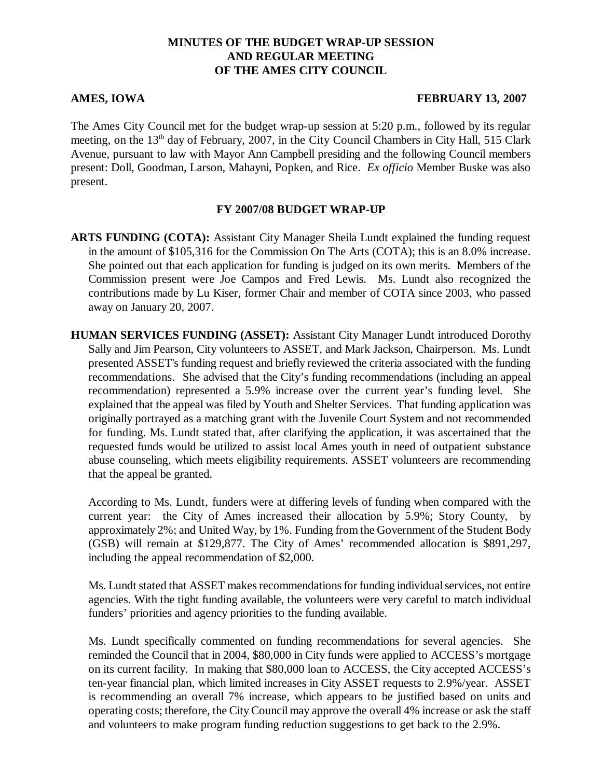### **MINUTES OF THE BUDGET WRAP-UP SESSION AND REGULAR MEETING OF THE AMES CITY COUNCIL**

#### **AMES, IOWA FEBRUARY 13, 2007**

The Ames City Council met for the budget wrap-up session at 5:20 p.m., followed by its regular meeting, on the 13<sup>th</sup> day of February, 2007, in the City Council Chambers in City Hall, 515 Clark Avenue, pursuant to law with Mayor Ann Campbell presiding and the following Council members present: Doll, Goodman, Larson, Mahayni, Popken, and Rice. *Ex officio* Member Buske was also present.

### **FY 2007/08 BUDGET WRAP-UP**

**ARTS FUNDING (COTA):** Assistant City Manager Sheila Lundt explained the funding request in the amount of \$105,316 for the Commission On The Arts (COTA); this is an 8.0% increase. She pointed out that each application for funding is judged on its own merits. Members of the Commission present were Joe Campos and Fred Lewis. Ms. Lundt also recognized the contributions made by Lu Kiser, former Chair and member of COTA since 2003, who passed away on January 20, 2007.

**HUMAN SERVICES FUNDING (ASSET):** Assistant City Manager Lundt introduced Dorothy Sally and Jim Pearson, City volunteers to ASSET, and Mark Jackson, Chairperson. Ms. Lundt presented ASSET's funding request and briefly reviewed the criteria associated with the funding recommendations. She advised that the City's funding recommendations (including an appeal recommendation) represented a 5.9% increase over the current year's funding level. She explained that the appeal was filed by Youth and Shelter Services. That funding application was originally portrayed as a matching grant with the Juvenile Court System and not recommended for funding. Ms. Lundt stated that, after clarifying the application, it was ascertained that the requested funds would be utilized to assist local Ames youth in need of outpatient substance abuse counseling, which meets eligibility requirements. ASSET volunteers are recommending that the appeal be granted.

According to Ms. Lundt, funders were at differing levels of funding when compared with the current year: the City of Ames increased their allocation by 5.9%; Story County, by approximately 2%; and United Way, by 1%. Funding from the Government of the Student Body (GSB) will remain at \$129,877. The City of Ames' recommended allocation is \$891,297, including the appeal recommendation of \$2,000.

Ms. Lundt stated that ASSET makes recommendations for funding individual services, not entire agencies. With the tight funding available, the volunteers were very careful to match individual funders' priorities and agency priorities to the funding available.

Ms. Lundt specifically commented on funding recommendations for several agencies. She reminded the Council that in 2004, \$80,000 in City funds were applied to ACCESS's mortgage on its current facility. In making that \$80,000 loan to ACCESS, the City accepted ACCESS's ten-year financial plan, which limited increases in City ASSET requests to 2.9%/year. ASSET is recommending an overall 7% increase, which appears to be justified based on units and operating costs; therefore, the City Council may approve the overall 4% increase or ask the staff and volunteers to make program funding reduction suggestions to get back to the 2.9%.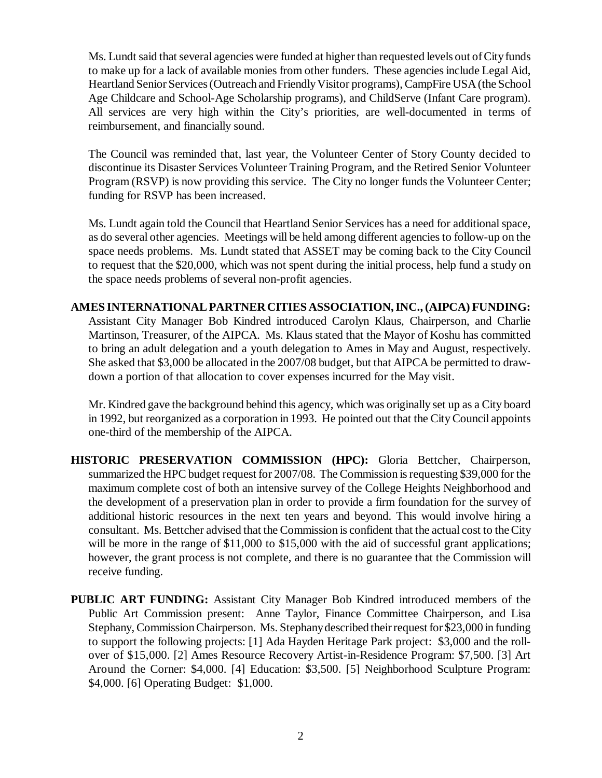Ms. Lundt said that several agencies were funded at higher than requested levels out of City funds to make up for a lack of available monies from other funders. These agencies include Legal Aid, Heartland Senior Services (Outreach and Friendly Visitor programs), CampFire USA (the School Age Childcare and School-Age Scholarship programs), and ChildServe (Infant Care program). All services are very high within the City's priorities, are well-documented in terms of reimbursement, and financially sound.

The Council was reminded that, last year, the Volunteer Center of Story County decided to discontinue its Disaster Services Volunteer Training Program, and the Retired Senior Volunteer Program (RSVP) is now providing this service. The City no longer funds the Volunteer Center; funding for RSVP has been increased.

Ms. Lundt again told the Council that Heartland Senior Services has a need for additional space, as do several other agencies. Meetings will be held among different agencies to follow-up on the space needs problems. Ms. Lundt stated that ASSET may be coming back to the City Council to request that the \$20,000, which was not spent during the initial process, help fund a study on the space needs problems of several non-profit agencies.

**AMES INTERNATIONAL PARTNER CITIES ASSOCIATION, INC., (AIPCA) FUNDING:** Assistant City Manager Bob Kindred introduced Carolyn Klaus, Chairperson, and Charlie Martinson, Treasurer, of the AIPCA. Ms. Klaus stated that the Mayor of Koshu has committed to bring an adult delegation and a youth delegation to Ames in May and August, respectively. She asked that \$3,000 be allocated in the 2007/08 budget, but that AIPCA be permitted to drawdown a portion of that allocation to cover expenses incurred for the May visit.

Mr. Kindred gave the background behind this agency, which was originally set up as a City board in 1992, but reorganized as a corporation in 1993. He pointed out that the City Council appoints one-third of the membership of the AIPCA.

- **HISTORIC PRESERVATION COMMISSION (HPC):** Gloria Bettcher, Chairperson, summarized the HPC budget request for 2007/08. The Commission is requesting \$39,000 for the maximum complete cost of both an intensive survey of the College Heights Neighborhood and the development of a preservation plan in order to provide a firm foundation for the survey of additional historic resources in the next ten years and beyond. This would involve hiring a consultant. Ms. Bettcher advised that the Commission is confident that the actual cost to the City will be more in the range of \$11,000 to \$15,000 with the aid of successful grant applications; however, the grant process is not complete, and there is no guarantee that the Commission will receive funding.
- **PUBLIC ART FUNDING:** Assistant City Manager Bob Kindred introduced members of the Public Art Commission present: Anne Taylor, Finance Committee Chairperson, and Lisa Stephany, Commission Chairperson. Ms. Stephany described their request for \$23,000 in funding to support the following projects: [1] Ada Hayden Heritage Park project: \$3,000 and the rollover of \$15,000. [2] Ames Resource Recovery Artist-in-Residence Program: \$7,500. [3] Art Around the Corner: \$4,000. [4] Education: \$3,500. [5] Neighborhood Sculpture Program: \$4,000. [6] Operating Budget: \$1,000.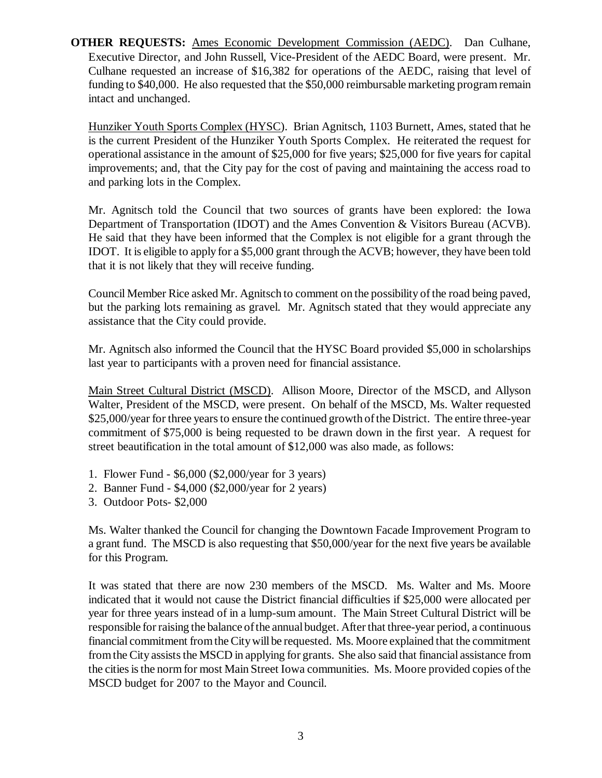**OTHER REQUESTS:** Ames Economic Development Commission (AEDC). Dan Culhane, Executive Director, and John Russell, Vice-President of the AEDC Board, were present. Mr. Culhane requested an increase of \$16,382 for operations of the AEDC, raising that level of funding to \$40,000. He also requested that the \$50,000 reimbursable marketing program remain intact and unchanged.

Hunziker Youth Sports Complex (HYSC). Brian Agnitsch, 1103 Burnett, Ames, stated that he is the current President of the Hunziker Youth Sports Complex. He reiterated the request for operational assistance in the amount of \$25,000 for five years; \$25,000 for five years for capital improvements; and, that the City pay for the cost of paving and maintaining the access road to and parking lots in the Complex.

Mr. Agnitsch told the Council that two sources of grants have been explored: the Iowa Department of Transportation (IDOT) and the Ames Convention & Visitors Bureau (ACVB). He said that they have been informed that the Complex is not eligible for a grant through the IDOT. It is eligible to apply for a \$5,000 grant through the ACVB; however, they have been told that it is not likely that they will receive funding.

Council Member Rice asked Mr. Agnitsch to comment on the possibility of the road being paved, but the parking lots remaining as gravel. Mr. Agnitsch stated that they would appreciate any assistance that the City could provide.

Mr. Agnitsch also informed the Council that the HYSC Board provided \$5,000 in scholarships last year to participants with a proven need for financial assistance.

Main Street Cultural District (MSCD). Allison Moore, Director of the MSCD, and Allyson Walter, President of the MSCD, were present. On behalf of the MSCD, Ms. Walter requested \$25,000/year for three years to ensure the continued growth of the District. The entire three-year commitment of \$75,000 is being requested to be drawn down in the first year. A request for street beautification in the total amount of \$12,000 was also made, as follows:

- 1. Flower Fund \$6,000 (\$2,000/year for 3 years)
- 2. Banner Fund \$4,000 (\$2,000/year for 2 years)
- 3. Outdoor Pots- \$2,000

Ms. Walter thanked the Council for changing the Downtown Facade Improvement Program to a grant fund. The MSCD is also requesting that \$50,000/year for the next five years be available for this Program.

It was stated that there are now 230 members of the MSCD. Ms. Walter and Ms. Moore indicated that it would not cause the District financial difficulties if \$25,000 were allocated per year for three years instead of in a lump-sum amount. The Main Street Cultural District will be responsible for raising the balance of the annual budget. After that three-year period, a continuous financial commitment from the City will be requested. Ms. Moore explained that the commitment from the City assists the MSCD in applying for grants. She also said that financial assistance from the cities is the norm for most Main Street Iowa communities. Ms. Moore provided copies of the MSCD budget for 2007 to the Mayor and Council.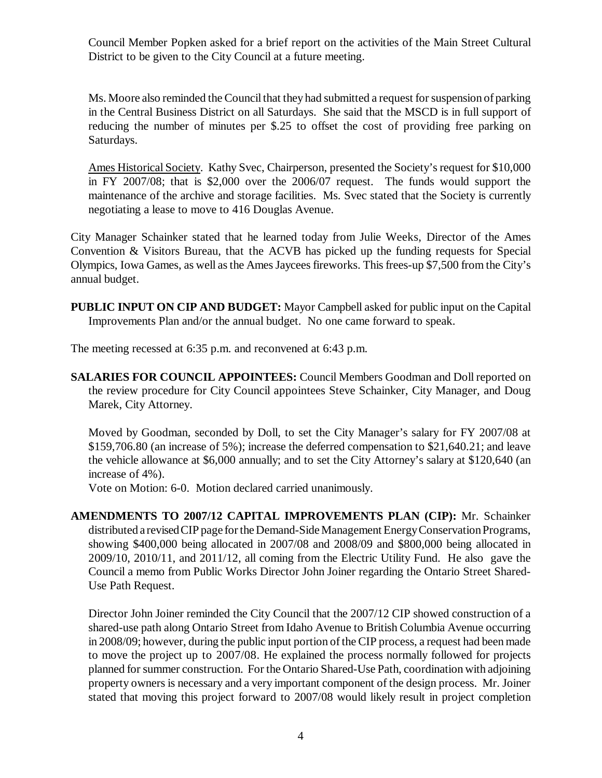Council Member Popken asked for a brief report on the activities of the Main Street Cultural District to be given to the City Council at a future meeting.

Ms. Moore also reminded the Council that they had submitted a request for suspension of parking in the Central Business District on all Saturdays. She said that the MSCD is in full support of reducing the number of minutes per \$.25 to offset the cost of providing free parking on Saturdays.

Ames Historical Society. Kathy Svec, Chairperson, presented the Society's request for \$10,000 in FY 2007/08; that is \$2,000 over the 2006/07 request. The funds would support the maintenance of the archive and storage facilities. Ms. Svec stated that the Society is currently negotiating a lease to move to 416 Douglas Avenue.

City Manager Schainker stated that he learned today from Julie Weeks, Director of the Ames Convention & Visitors Bureau, that the ACVB has picked up the funding requests for Special Olympics, Iowa Games, as well as the Ames Jaycees fireworks. This frees-up \$7,500 from the City's annual budget.

**PUBLIC INPUT ON CIP AND BUDGET:** Mayor Campbell asked for public input on the Capital Improvements Plan and/or the annual budget. No one came forward to speak.

The meeting recessed at 6:35 p.m. and reconvened at 6:43 p.m.

**SALARIES FOR COUNCIL APPOINTEES:** Council Members Goodman and Doll reported on the review procedure for City Council appointees Steve Schainker, City Manager, and Doug Marek, City Attorney.

Moved by Goodman, seconded by Doll, to set the City Manager's salary for FY 2007/08 at \$159,706.80 (an increase of 5%); increase the deferred compensation to \$21,640.21; and leave the vehicle allowance at \$6,000 annually; and to set the City Attorney's salary at \$120,640 (an increase of 4%).

Vote on Motion: 6-0. Motion declared carried unanimously.

**AMENDMENTS TO 2007/12 CAPITAL IMPROVEMENTS PLAN (CIP):** Mr. Schainker distributed a revised CIP page for the Demand-Side Management Energy Conservation Programs, showing \$400,000 being allocated in 2007/08 and 2008/09 and \$800,000 being allocated in 2009/10, 2010/11, and 2011/12, all coming from the Electric Utility Fund. He also gave the Council a memo from Public Works Director John Joiner regarding the Ontario Street Shared-Use Path Request.

Director John Joiner reminded the City Council that the 2007/12 CIP showed construction of a shared-use path along Ontario Street from Idaho Avenue to British Columbia Avenue occurring in 2008/09; however, during the public input portion of the CIP process, a request had been made to move the project up to 2007/08. He explained the process normally followed for projects planned for summer construction. For the Ontario Shared-Use Path, coordination with adjoining property owners is necessary and a very important component of the design process. Mr. Joiner stated that moving this project forward to 2007/08 would likely result in project completion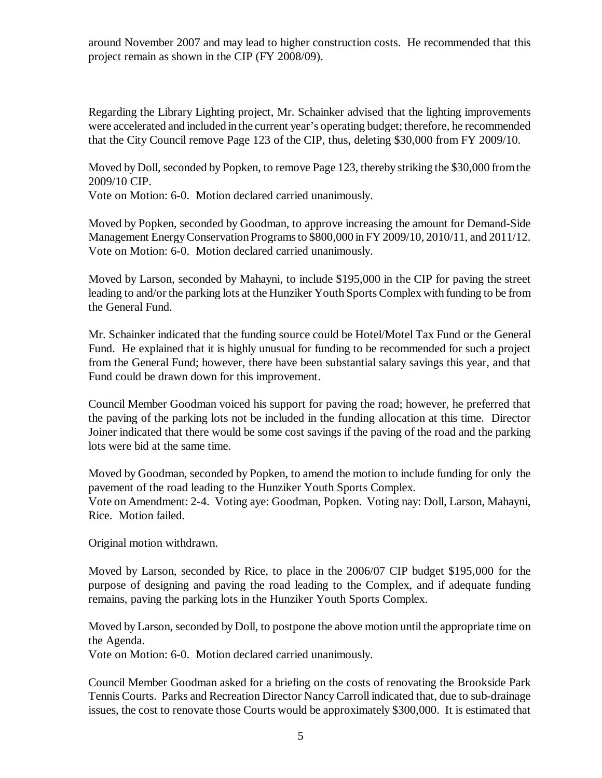around November 2007 and may lead to higher construction costs. He recommended that this project remain as shown in the CIP (FY 2008/09).

Regarding the Library Lighting project, Mr. Schainker advised that the lighting improvements were accelerated and included in the current year's operating budget; therefore, he recommended that the City Council remove Page 123 of the CIP, thus, deleting \$30,000 from FY 2009/10.

Moved by Doll, seconded by Popken, to remove Page 123, thereby striking the \$30,000 from the 2009/10 CIP.

Vote on Motion: 6-0. Motion declared carried unanimously.

Moved by Popken, seconded by Goodman, to approve increasing the amount for Demand-Side Management Energy Conservation Programs to \$800,000 in FY 2009/10, 2010/11, and 2011/12. Vote on Motion: 6-0. Motion declared carried unanimously.

Moved by Larson, seconded by Mahayni, to include \$195,000 in the CIP for paving the street leading to and/or the parking lots at the Hunziker Youth Sports Complex with funding to be from the General Fund.

Mr. Schainker indicated that the funding source could be Hotel/Motel Tax Fund or the General Fund. He explained that it is highly unusual for funding to be recommended for such a project from the General Fund; however, there have been substantial salary savings this year, and that Fund could be drawn down for this improvement.

Council Member Goodman voiced his support for paving the road; however, he preferred that the paving of the parking lots not be included in the funding allocation at this time. Director Joiner indicated that there would be some cost savings if the paving of the road and the parking lots were bid at the same time.

Moved by Goodman, seconded by Popken, to amend the motion to include funding for only the pavement of the road leading to the Hunziker Youth Sports Complex. Vote on Amendment: 2-4. Voting aye: Goodman, Popken. Voting nay: Doll, Larson, Mahayni, Rice. Motion failed.

Original motion withdrawn.

Moved by Larson, seconded by Rice, to place in the 2006/07 CIP budget \$195,000 for the purpose of designing and paving the road leading to the Complex, and if adequate funding remains, paving the parking lots in the Hunziker Youth Sports Complex.

Moved by Larson, seconded by Doll, to postpone the above motion until the appropriate time on the Agenda.

Vote on Motion: 6-0. Motion declared carried unanimously.

Council Member Goodman asked for a briefing on the costs of renovating the Brookside Park Tennis Courts. Parks and Recreation Director Nancy Carroll indicated that, due to sub-drainage issues, the cost to renovate those Courts would be approximately \$300,000. It is estimated that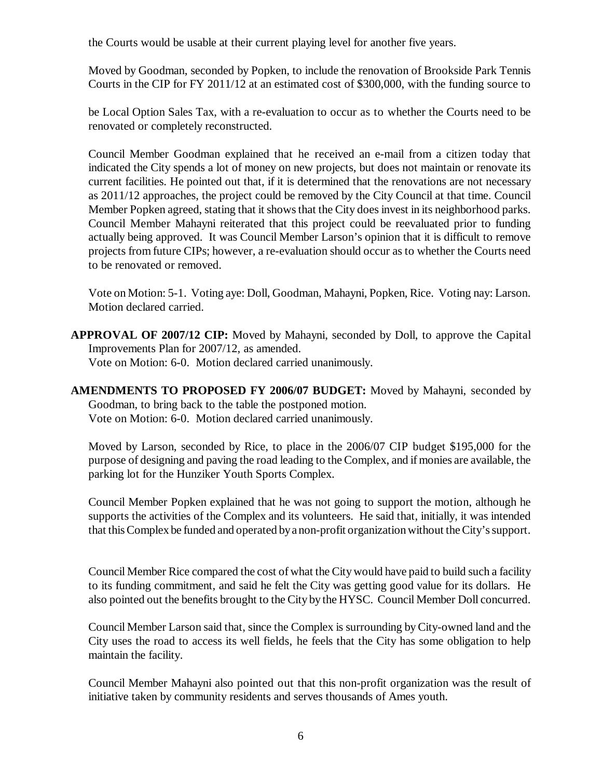the Courts would be usable at their current playing level for another five years.

Moved by Goodman, seconded by Popken, to include the renovation of Brookside Park Tennis Courts in the CIP for FY 2011/12 at an estimated cost of \$300,000, with the funding source to

be Local Option Sales Tax, with a re-evaluation to occur as to whether the Courts need to be renovated or completely reconstructed.

Council Member Goodman explained that he received an e-mail from a citizen today that indicated the City spends a lot of money on new projects, but does not maintain or renovate its current facilities. He pointed out that, if it is determined that the renovations are not necessary as 2011/12 approaches, the project could be removed by the City Council at that time. Council Member Popken agreed, stating that it shows that the City does invest in its neighborhood parks. Council Member Mahayni reiterated that this project could be reevaluated prior to funding actually being approved. It was Council Member Larson's opinion that it is difficult to remove projects from future CIPs; however, a re-evaluation should occur as to whether the Courts need to be renovated or removed.

Vote on Motion: 5-1. Voting aye: Doll, Goodman, Mahayni, Popken, Rice. Voting nay: Larson. Motion declared carried.

- **APPROVAL OF 2007/12 CIP:** Moved by Mahayni, seconded by Doll, to approve the Capital Improvements Plan for 2007/12, as amended. Vote on Motion: 6-0. Motion declared carried unanimously.
- **AMENDMENTS TO PROPOSED FY 2006/07 BUDGET:** Moved by Mahayni, seconded by Goodman, to bring back to the table the postponed motion. Vote on Motion: 6-0. Motion declared carried unanimously.

Moved by Larson, seconded by Rice, to place in the 2006/07 CIP budget \$195,000 for the purpose of designing and paving the road leading to the Complex, and if monies are available, the parking lot for the Hunziker Youth Sports Complex.

Council Member Popken explained that he was not going to support the motion, although he supports the activities of the Complex and its volunteers. He said that, initially, it was intended that this Complex be funded and operated by a non-profit organization without the City's support.

Council Member Rice compared the cost of what the City would have paid to build such a facility to its funding commitment, and said he felt the City was getting good value for its dollars. He also pointed out the benefits brought to the City by the HYSC. Council Member Doll concurred.

Council Member Larson said that, since the Complex is surrounding by City-owned land and the City uses the road to access its well fields, he feels that the City has some obligation to help maintain the facility.

Council Member Mahayni also pointed out that this non-profit organization was the result of initiative taken by community residents and serves thousands of Ames youth.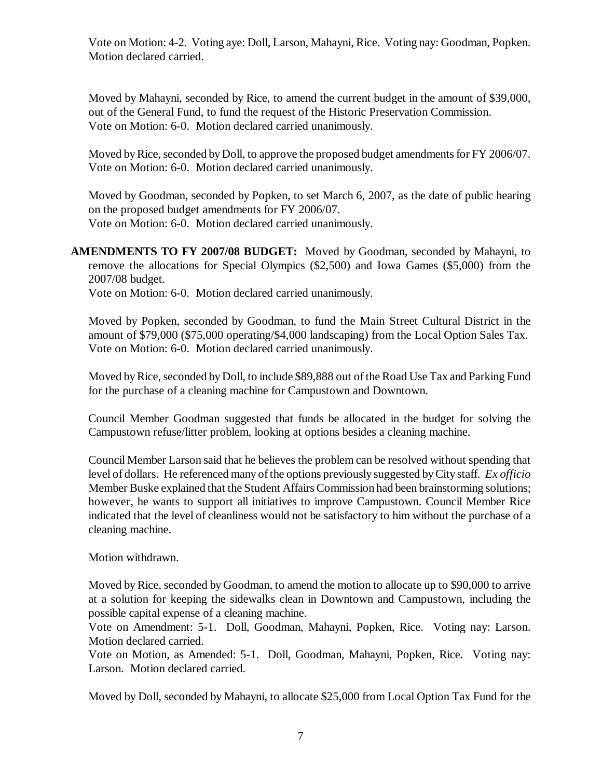Vote on Motion: 4-2. Voting aye: Doll, Larson, Mahayni, Rice. Voting nay: Goodman, Popken. Motion declared carried.

Moved by Mahayni, seconded by Rice, to amend the current budget in the amount of \$39,000, out of the General Fund, to fund the request of the Historic Preservation Commission. Vote on Motion: 6-0. Motion declared carried unanimously.

Moved by Rice, seconded by Doll, to approve the proposed budget amendments for FY 2006/07. Vote on Motion: 6-0. Motion declared carried unanimously.

Moved by Goodman, seconded by Popken, to set March 6, 2007, as the date of public hearing on the proposed budget amendments for FY 2006/07. Vote on Motion: 6-0. Motion declared carried unanimously.

**AMENDMENTS TO FY 2007/08 BUDGET:** Moved by Goodman, seconded by Mahayni, to remove the allocations for Special Olympics (\$2,500) and Iowa Games (\$5,000) from the 2007/08 budget.

Vote on Motion: 6-0. Motion declared carried unanimously.

Moved by Popken, seconded by Goodman, to fund the Main Street Cultural District in the amount of \$79,000 (\$75,000 operating/\$4,000 landscaping) from the Local Option Sales Tax. Vote on Motion: 6-0. Motion declared carried unanimously.

Moved by Rice, seconded by Doll, to include \$89,888 out of the Road Use Tax and Parking Fund for the purchase of a cleaning machine for Campustown and Downtown.

Council Member Goodman suggested that funds be allocated in the budget for solving the Campustown refuse/litter problem, looking at options besides a cleaning machine.

Council Member Larson said that he believes the problem can be resolved without spending that level of dollars. He referenced many of the options previously suggested by City staff. *Ex officio* Member Buske explained that the Student Affairs Commission had been brainstorming solutions; however, he wants to support all initiatives to improve Campustown. Council Member Rice indicated that the level of cleanliness would not be satisfactory to him without the purchase of a cleaning machine.

Motion withdrawn.

Moved by Rice, seconded by Goodman, to amend the motion to allocate up to \$90,000 to arrive at a solution for keeping the sidewalks clean in Downtown and Campustown, including the possible capital expense of a cleaning machine.

Vote on Amendment: 5-1. Doll, Goodman, Mahayni, Popken, Rice. Voting nay: Larson. Motion declared carried.

Vote on Motion, as Amended: 5-1. Doll, Goodman, Mahayni, Popken, Rice. Voting nay: Larson. Motion declared carried.

Moved by Doll, seconded by Mahayni, to allocate \$25,000 from Local Option Tax Fund for the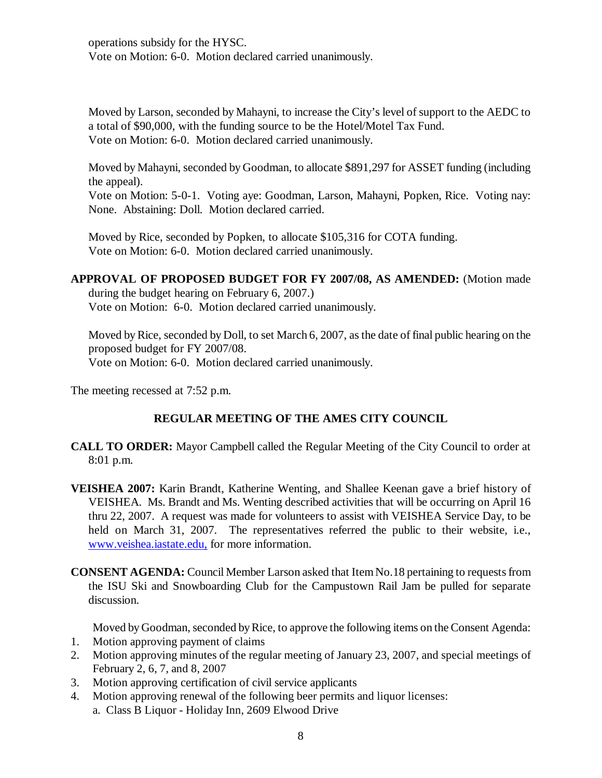operations subsidy for the HYSC. Vote on Motion: 6-0. Motion declared carried unanimously.

Moved by Larson, seconded by Mahayni, to increase the City's level of support to the AEDC to a total of \$90,000, with the funding source to be the Hotel/Motel Tax Fund. Vote on Motion: 6-0. Motion declared carried unanimously.

Moved by Mahayni, seconded by Goodman, to allocate \$891,297 for ASSET funding (including the appeal).

Vote on Motion: 5-0-1. Voting aye: Goodman, Larson, Mahayni, Popken, Rice. Voting nay: None. Abstaining: Doll. Motion declared carried.

Moved by Rice, seconded by Popken, to allocate \$105,316 for COTA funding. Vote on Motion: 6-0. Motion declared carried unanimously.

**APPROVAL OF PROPOSED BUDGET FOR FY 2007/08, AS AMENDED:** (Motion made during the budget hearing on February 6, 2007.) Vote on Motion: 6-0. Motion declared carried unanimously.

Moved by Rice, seconded by Doll, to set March 6, 2007, as the date of final public hearing on the proposed budget for FY 2007/08. Vote on Motion: 6-0. Motion declared carried unanimously.

The meeting recessed at 7:52 p.m.

# **REGULAR MEETING OF THE AMES CITY COUNCIL**

- **CALL TO ORDER:** Mayor Campbell called the Regular Meeting of the City Council to order at 8:01 p.m.
- **VEISHEA 2007:** Karin Brandt, Katherine Wenting, and Shallee Keenan gave a brief history of VEISHEA. Ms. Brandt and Ms. Wenting described activities that will be occurring on April 16 thru 22, 2007. A request was made for volunteers to assist with VEISHEA Service Day, to be held on March 31, 2007. The representatives referred the public to their website, i.e., www.veishea.iastate.edu, for more information.
- **CONSENT AGENDA:** Council Member Larson asked that Item No.18 pertaining to requests from the ISU Ski and Snowboarding Club for the Campustown Rail Jam be pulled for separate discussion.

Moved by Goodman, seconded by Rice, to approve the following items on the Consent Agenda:

- 1. Motion approving payment of claims
- 2. Motion approving minutes of the regular meeting of January 23, 2007, and special meetings of February 2, 6, 7, and 8, 2007
- 3. Motion approving certification of civil service applicants
- 4. Motion approving renewal of the following beer permits and liquor licenses: a. Class B Liquor - Holiday Inn, 2609 Elwood Drive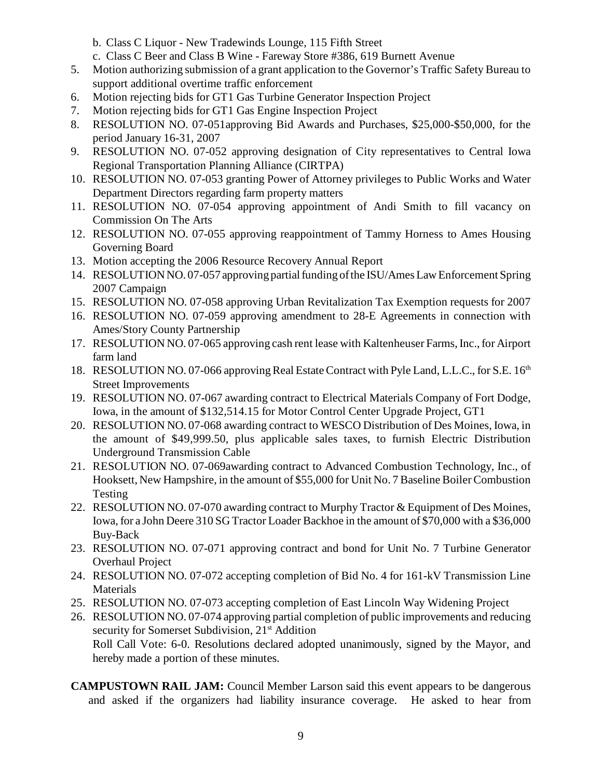- b. Class C Liquor New Tradewinds Lounge, 115 Fifth Street
- c. Class C Beer and Class B Wine Fareway Store #386, 619 Burnett Avenue
- 5. Motion authorizing submission of a grant application to the Governor's Traffic Safety Bureau to support additional overtime traffic enforcement
- 6. Motion rejecting bids for GT1 Gas Turbine Generator Inspection Project
- 7. Motion rejecting bids for GT1 Gas Engine Inspection Project
- 8. RESOLUTION NO. 07-051approving Bid Awards and Purchases, \$25,000-\$50,000, for the period January 16-31, 2007
- 9. RESOLUTION NO. 07-052 approving designation of City representatives to Central Iowa Regional Transportation Planning Alliance (CIRTPA)
- 10. RESOLUTION NO. 07-053 granting Power of Attorney privileges to Public Works and Water Department Directors regarding farm property matters
- 11. RESOLUTION NO. 07-054 approving appointment of Andi Smith to fill vacancy on Commission On The Arts
- 12. RESOLUTION NO. 07-055 approving reappointment of Tammy Horness to Ames Housing Governing Board
- 13. Motion accepting the 2006 Resource Recovery Annual Report
- 14. RESOLUTION NO. 07-057 approving partial funding of the ISU/Ames Law Enforcement Spring 2007 Campaign
- 15. RESOLUTION NO. 07-058 approving Urban Revitalization Tax Exemption requests for 2007
- 16. RESOLUTION NO. 07-059 approving amendment to 28-E Agreements in connection with Ames/Story County Partnership
- 17. RESOLUTION NO. 07-065 approving cash rent lease with Kaltenheuser Farms, Inc., for Airport farm land
- 18. RESOLUTION NO. 07-066 approving Real Estate Contract with Pyle Land, L.L.C., for S.E. 16<sup>th</sup> Street Improvements
- 19. RESOLUTION NO. 07-067 awarding contract to Electrical Materials Company of Fort Dodge, Iowa, in the amount of \$132,514.15 for Motor Control Center Upgrade Project, GT1
- 20. RESOLUTION NO. 07-068 awarding contract to WESCO Distribution of Des Moines, Iowa, in the amount of \$49,999.50, plus applicable sales taxes, to furnish Electric Distribution Underground Transmission Cable
- 21. RESOLUTION NO. 07-069awarding contract to Advanced Combustion Technology, Inc., of Hooksett, New Hampshire, in the amount of \$55,000 for Unit No. 7 Baseline Boiler Combustion Testing
- 22. RESOLUTION NO. 07-070 awarding contract to Murphy Tractor & Equipment of Des Moines, Iowa, for a John Deere 310 SG Tractor Loader Backhoe in the amount of \$70,000 with a \$36,000 Buy-Back
- 23. RESOLUTION NO. 07-071 approving contract and bond for Unit No. 7 Turbine Generator Overhaul Project
- 24. RESOLUTION NO. 07-072 accepting completion of Bid No. 4 for 161-kV Transmission Line **Materials**
- 25. RESOLUTION NO. 07-073 accepting completion of East Lincoln Way Widening Project
- 26. RESOLUTION NO. 07-074 approving partial completion of public improvements and reducing security for Somerset Subdivision, 21<sup>st</sup> Addition Roll Call Vote: 6-0. Resolutions declared adopted unanimously, signed by the Mayor, and hereby made a portion of these minutes.
- **CAMPUSTOWN RAIL JAM:** Council Member Larson said this event appears to be dangerous and asked if the organizers had liability insurance coverage. He asked to hear from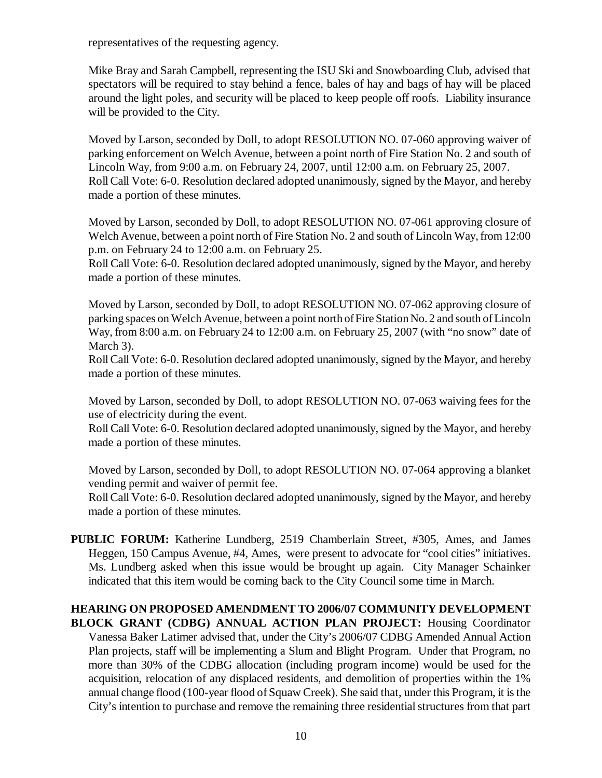representatives of the requesting agency.

Mike Bray and Sarah Campbell, representing the ISU Ski and Snowboarding Club, advised that spectators will be required to stay behind a fence, bales of hay and bags of hay will be placed around the light poles, and security will be placed to keep people off roofs. Liability insurance will be provided to the City.

Moved by Larson, seconded by Doll, to adopt RESOLUTION NO. 07-060 approving waiver of parking enforcement on Welch Avenue, between a point north of Fire Station No. 2 and south of Lincoln Way, from 9:00 a.m. on February 24, 2007, until 12:00 a.m. on February 25, 2007. Roll Call Vote: 6-0. Resolution declared adopted unanimously, signed by the Mayor, and hereby made a portion of these minutes.

Moved by Larson, seconded by Doll, to adopt RESOLUTION NO. 07-061 approving closure of Welch Avenue, between a point north of Fire Station No. 2 and south of Lincoln Way, from 12:00 p.m. on February 24 to 12:00 a.m. on February 25.

Roll Call Vote: 6-0. Resolution declared adopted unanimously, signed by the Mayor, and hereby made a portion of these minutes.

Moved by Larson, seconded by Doll, to adopt RESOLUTION NO. 07-062 approving closure of parking spaces on Welch Avenue, between a point north of Fire Station No. 2 and south of Lincoln Way, from 8:00 a.m. on February 24 to 12:00 a.m. on February 25, 2007 (with "no snow" date of March 3).

Roll Call Vote: 6-0. Resolution declared adopted unanimously, signed by the Mayor, and hereby made a portion of these minutes.

Moved by Larson, seconded by Doll, to adopt RESOLUTION NO. 07-063 waiving fees for the use of electricity during the event.

Roll Call Vote: 6-0. Resolution declared adopted unanimously, signed by the Mayor, and hereby made a portion of these minutes.

Moved by Larson, seconded by Doll, to adopt RESOLUTION NO. 07-064 approving a blanket vending permit and waiver of permit fee.

Roll Call Vote: 6-0. Resolution declared adopted unanimously, signed by the Mayor, and hereby made a portion of these minutes.

**PUBLIC FORUM:** Katherine Lundberg, 2519 Chamberlain Street, #305, Ames, and James Heggen, 150 Campus Avenue, #4, Ames, were present to advocate for "cool cities" initiatives. Ms. Lundberg asked when this issue would be brought up again. City Manager Schainker indicated that this item would be coming back to the City Council some time in March.

#### **HEARING ON PROPOSED AMENDMENT TO 2006/07 COMMUNITY DEVELOPMENT BLOCK GRANT (CDBG) ANNUAL ACTION PLAN PROJECT:** Housing Coordinator

Vanessa Baker Latimer advised that, under the City's 2006/07 CDBG Amended Annual Action Plan projects, staff will be implementing a Slum and Blight Program. Under that Program, no more than 30% of the CDBG allocation (including program income) would be used for the acquisition, relocation of any displaced residents, and demolition of properties within the 1% annual change flood (100-year flood of Squaw Creek). She said that, under this Program, it is the City's intention to purchase and remove the remaining three residential structures from that part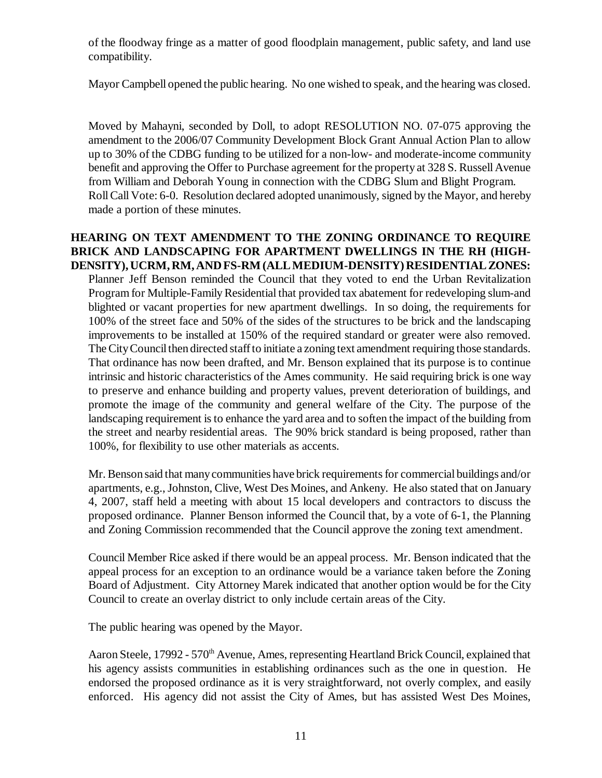of the floodway fringe as a matter of good floodplain management, public safety, and land use compatibility.

Mayor Campbell opened the public hearing. No one wished to speak, and the hearing was closed.

Moved by Mahayni, seconded by Doll, to adopt RESOLUTION NO. 07-075 approving the amendment to the 2006/07 Community Development Block Grant Annual Action Plan to allow up to 30% of the CDBG funding to be utilized for a non-low- and moderate-income community benefit and approving the Offer to Purchase agreement for the property at 328 S. Russell Avenue from William and Deborah Young in connection with the CDBG Slum and Blight Program. Roll Call Vote: 6-0. Resolution declared adopted unanimously, signed by the Mayor, and hereby made a portion of these minutes.

**HEARING ON TEXT AMENDMENT TO THE ZONING ORDINANCE TO REQUIRE BRICK AND LANDSCAPING FOR APARTMENT DWELLINGS IN THE RH (HIGH-DENSITY), UCRM, RM, AND FS-RM (ALL MEDIUM-DENSITY) RESIDENTIAL ZONES:** Planner Jeff Benson reminded the Council that they voted to end the Urban Revitalization Program for Multiple-Family Residential that provided tax abatement for redeveloping slum-and blighted or vacant properties for new apartment dwellings. In so doing, the requirements for 100% of the street face and 50% of the sides of the structures to be brick and the landscaping improvements to be installed at 150% of the required standard or greater were also removed. The City Council then directed staff to initiate a zoning text amendment requiring those standards. That ordinance has now been drafted, and Mr. Benson explained that its purpose is to continue intrinsic and historic characteristics of the Ames community. He said requiring brick is one way to preserve and enhance building and property values, prevent deterioration of buildings, and promote the image of the community and general welfare of the City. The purpose of the landscaping requirement is to enhance the yard area and to soften the impact of the building from the street and nearby residential areas. The 90% brick standard is being proposed, rather than 100%, for flexibility to use other materials as accents.

Mr. Benson said that many communities have brick requirements for commercial buildings and/or apartments, e.g., Johnston, Clive, West Des Moines, and Ankeny. He also stated that on January 4, 2007, staff held a meeting with about 15 local developers and contractors to discuss the proposed ordinance. Planner Benson informed the Council that, by a vote of 6-1, the Planning and Zoning Commission recommended that the Council approve the zoning text amendment.

Council Member Rice asked if there would be an appeal process. Mr. Benson indicated that the appeal process for an exception to an ordinance would be a variance taken before the Zoning Board of Adjustment. City Attorney Marek indicated that another option would be for the City Council to create an overlay district to only include certain areas of the City.

The public hearing was opened by the Mayor.

Aaron Steele, 17992 - 570<sup>th</sup> Avenue, Ames, representing Heartland Brick Council, explained that his agency assists communities in establishing ordinances such as the one in question. He endorsed the proposed ordinance as it is very straightforward, not overly complex, and easily enforced. His agency did not assist the City of Ames, but has assisted West Des Moines,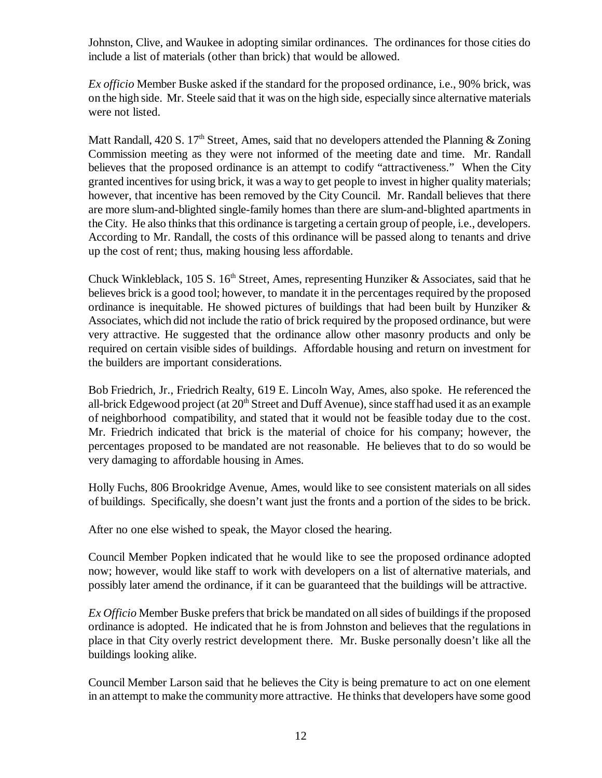Johnston, Clive, and Waukee in adopting similar ordinances. The ordinances for those cities do include a list of materials (other than brick) that would be allowed.

*Ex officio* Member Buske asked if the standard for the proposed ordinance, i.e., 90% brick, was on the high side. Mr. Steele said that it was on the high side, especially since alternative materials were not listed.

Matt Randall, 420 S. 17<sup>th</sup> Street, Ames, said that no developers attended the Planning & Zoning Commission meeting as they were not informed of the meeting date and time. Mr. Randall believes that the proposed ordinance is an attempt to codify "attractiveness." When the City granted incentives for using brick, it was a way to get people to invest in higher quality materials; however, that incentive has been removed by the City Council. Mr. Randall believes that there are more slum-and-blighted single-family homes than there are slum-and-blighted apartments in the City. He also thinks that this ordinance is targeting a certain group of people, i.e., developers. According to Mr. Randall, the costs of this ordinance will be passed along to tenants and drive up the cost of rent; thus, making housing less affordable.

Chuck Winkleblack, 105 S.  $16<sup>th</sup>$  Street, Ames, representing Hunziker & Associates, said that he believes brick is a good tool; however, to mandate it in the percentages required by the proposed ordinance is inequitable. He showed pictures of buildings that had been built by Hunziker  $\&$ Associates, which did not include the ratio of brick required by the proposed ordinance, but were very attractive. He suggested that the ordinance allow other masonry products and only be required on certain visible sides of buildings. Affordable housing and return on investment for the builders are important considerations.

Bob Friedrich, Jr., Friedrich Realty, 619 E. Lincoln Way, Ames, also spoke. He referenced the all-brick Edgewood project (at 20<sup>th</sup> Street and Duff Avenue), since staff had used it as an example of neighborhood compatibility, and stated that it would not be feasible today due to the cost. Mr. Friedrich indicated that brick is the material of choice for his company; however, the percentages proposed to be mandated are not reasonable. He believes that to do so would be very damaging to affordable housing in Ames.

Holly Fuchs, 806 Brookridge Avenue, Ames, would like to see consistent materials on all sides of buildings. Specifically, she doesn't want just the fronts and a portion of the sides to be brick.

After no one else wished to speak, the Mayor closed the hearing.

Council Member Popken indicated that he would like to see the proposed ordinance adopted now; however, would like staff to work with developers on a list of alternative materials, and possibly later amend the ordinance, if it can be guaranteed that the buildings will be attractive.

*Ex Officio* Member Buske prefers that brick be mandated on all sides of buildings if the proposed ordinance is adopted. He indicated that he is from Johnston and believes that the regulations in place in that City overly restrict development there. Mr. Buske personally doesn't like all the buildings looking alike.

Council Member Larson said that he believes the City is being premature to act on one element in an attempt to make the community more attractive. He thinks that developers have some good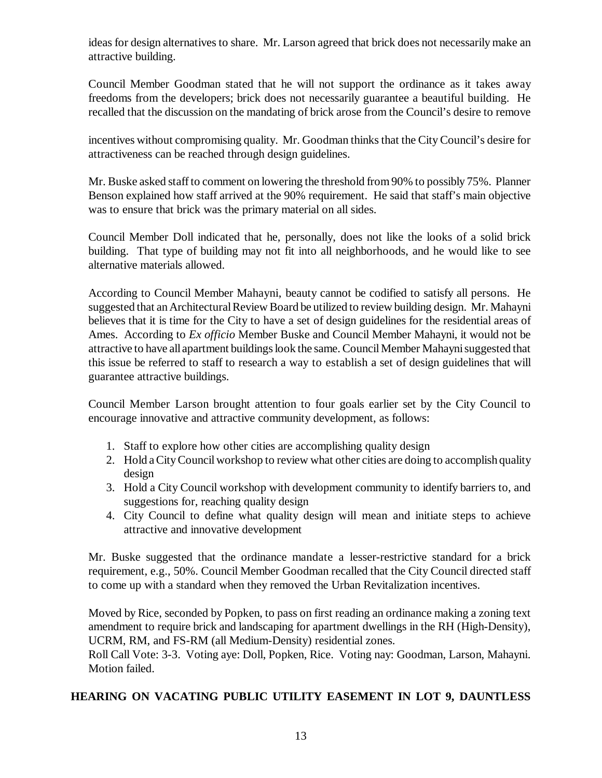ideas for design alternatives to share. Mr. Larson agreed that brick does not necessarily make an attractive building.

Council Member Goodman stated that he will not support the ordinance as it takes away freedoms from the developers; brick does not necessarily guarantee a beautiful building. He recalled that the discussion on the mandating of brick arose from the Council's desire to remove

incentives without compromising quality. Mr. Goodman thinks that the City Council's desire for attractiveness can be reached through design guidelines.

Mr. Buske asked staff to comment on lowering the threshold from 90% to possibly 75%. Planner Benson explained how staff arrived at the 90% requirement. He said that staff's main objective was to ensure that brick was the primary material on all sides.

Council Member Doll indicated that he, personally, does not like the looks of a solid brick building. That type of building may not fit into all neighborhoods, and he would like to see alternative materials allowed.

According to Council Member Mahayni, beauty cannot be codified to satisfy all persons. He suggested that an Architectural Review Board be utilized to review building design. Mr. Mahayni believes that it is time for the City to have a set of design guidelines for the residential areas of Ames. According to *Ex officio* Member Buske and Council Member Mahayni, it would not be attractive to have all apartment buildings look the same. Council Member Mahayni suggested that this issue be referred to staff to research a way to establish a set of design guidelines that will guarantee attractive buildings.

Council Member Larson brought attention to four goals earlier set by the City Council to encourage innovative and attractive community development, as follows:

- 1. Staff to explore how other cities are accomplishing quality design
- 2. Hold a City Council workshop to review what other cities are doing to accomplish quality design
- 3. Hold a City Council workshop with development community to identify barriers to, and suggestions for, reaching quality design
- 4. City Council to define what quality design will mean and initiate steps to achieve attractive and innovative development

Mr. Buske suggested that the ordinance mandate a lesser-restrictive standard for a brick requirement, e.g., 50%. Council Member Goodman recalled that the City Council directed staff to come up with a standard when they removed the Urban Revitalization incentives.

Moved by Rice, seconded by Popken, to pass on first reading an ordinance making a zoning text amendment to require brick and landscaping for apartment dwellings in the RH (High-Density), UCRM, RM, and FS-RM (all Medium-Density) residential zones.

Roll Call Vote: 3-3. Voting aye: Doll, Popken, Rice. Voting nay: Goodman, Larson, Mahayni. Motion failed.

# **HEARING ON VACATING PUBLIC UTILITY EASEMENT IN LOT 9, DAUNTLESS**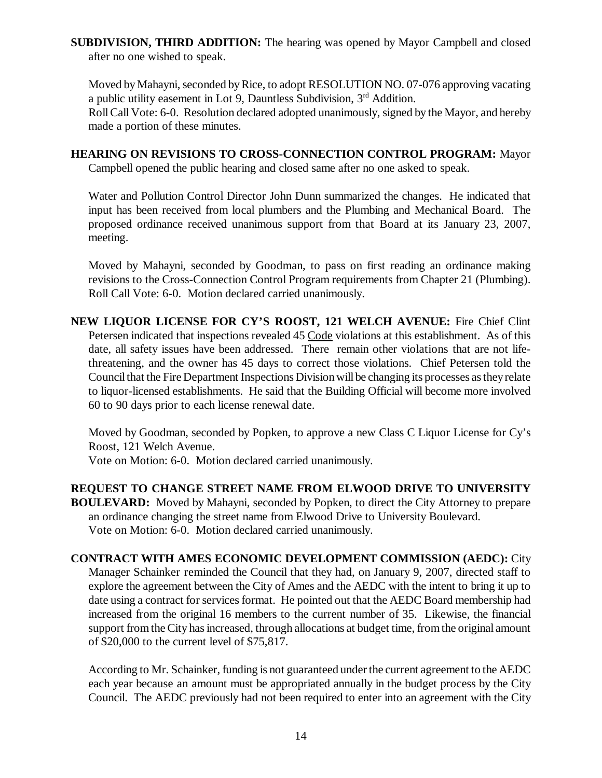**SUBDIVISION, THIRD ADDITION:** The hearing was opened by Mayor Campbell and closed after no one wished to speak.

Moved by Mahayni, seconded by Rice, to adopt RESOLUTION NO. 07-076 approving vacating a public utility easement in Lot 9. Dauntless Subdivision,  $3<sup>rd</sup>$  Addition. Roll Call Vote: 6-0. Resolution declared adopted unanimously, signed by the Mayor, and hereby made a portion of these minutes.

**HEARING ON REVISIONS TO CROSS-CONNECTION CONTROL PROGRAM:** Mayor Campbell opened the public hearing and closed same after no one asked to speak.

Water and Pollution Control Director John Dunn summarized the changes. He indicated that input has been received from local plumbers and the Plumbing and Mechanical Board. The proposed ordinance received unanimous support from that Board at its January 23, 2007, meeting.

Moved by Mahayni, seconded by Goodman, to pass on first reading an ordinance making revisions to the Cross-Connection Control Program requirements from Chapter 21 (Plumbing). Roll Call Vote: 6-0. Motion declared carried unanimously.

**NEW LIQUOR LICENSE FOR CY'S ROOST, 121 WELCH AVENUE:** Fire Chief Clint Petersen indicated that inspections revealed 45 Code violations at this establishment. As of this date, all safety issues have been addressed. There remain other violations that are not lifethreatening, and the owner has 45 days to correct those violations. Chief Petersen told the Council that the Fire Department Inspections Division will be changing its processes as they relate to liquor-licensed establishments. He said that the Building Official will become more involved 60 to 90 days prior to each license renewal date.

Moved by Goodman, seconded by Popken, to approve a new Class C Liquor License for Cy's Roost, 121 Welch Avenue.

Vote on Motion: 6-0. Motion declared carried unanimously.

**REQUEST TO CHANGE STREET NAME FROM ELWOOD DRIVE TO UNIVERSITY BOULEVARD:** Moved by Mahayni, seconded by Popken, to direct the City Attorney to prepare an ordinance changing the street name from Elwood Drive to University Boulevard. Vote on Motion: 6-0. Motion declared carried unanimously.

**CONTRACT WITH AMES ECONOMIC DEVELOPMENT COMMISSION (AEDC):** City Manager Schainker reminded the Council that they had, on January 9, 2007, directed staff to explore the agreement between the City of Ames and the AEDC with the intent to bring it up to date using a contract for services format. He pointed out that the AEDC Board membership had increased from the original 16 members to the current number of 35. Likewise, the financial support from the City has increased, through allocations at budget time, from the original amount of \$20,000 to the current level of \$75,817.

According to Mr. Schainker, funding is not guaranteed under the current agreement to the AEDC each year because an amount must be appropriated annually in the budget process by the City Council. The AEDC previously had not been required to enter into an agreement with the City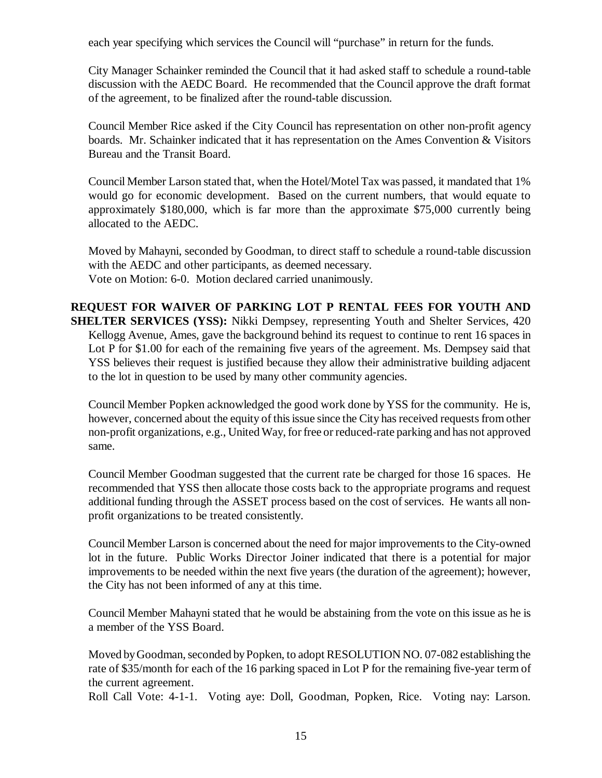each year specifying which services the Council will "purchase" in return for the funds.

City Manager Schainker reminded the Council that it had asked staff to schedule a round-table discussion with the AEDC Board. He recommended that the Council approve the draft format of the agreement, to be finalized after the round-table discussion.

Council Member Rice asked if the City Council has representation on other non-profit agency boards. Mr. Schainker indicated that it has representation on the Ames Convention & Visitors Bureau and the Transit Board.

Council Member Larson stated that, when the Hotel/Motel Tax was passed, it mandated that 1% would go for economic development. Based on the current numbers, that would equate to approximately \$180,000, which is far more than the approximate \$75,000 currently being allocated to the AEDC.

Moved by Mahayni, seconded by Goodman, to direct staff to schedule a round-table discussion with the AEDC and other participants, as deemed necessary. Vote on Motion: 6-0. Motion declared carried unanimously.

**REQUEST FOR WAIVER OF PARKING LOT P RENTAL FEES FOR YOUTH AND SHELTER SERVICES (YSS):** Nikki Dempsey, representing Youth and Shelter Services, 420 Kellogg Avenue, Ames, gave the background behind its request to continue to rent 16 spaces in Lot P for \$1.00 for each of the remaining five years of the agreement. Ms. Dempsey said that YSS believes their request is justified because they allow their administrative building adjacent to the lot in question to be used by many other community agencies.

Council Member Popken acknowledged the good work done by YSS for the community. He is, however, concerned about the equity of this issue since the City has received requests from other non-profit organizations, e.g., United Way, for free or reduced-rate parking and has not approved same.

Council Member Goodman suggested that the current rate be charged for those 16 spaces. He recommended that YSS then allocate those costs back to the appropriate programs and request additional funding through the ASSET process based on the cost of services. He wants all nonprofit organizations to be treated consistently.

Council Member Larson is concerned about the need for major improvements to the City-owned lot in the future. Public Works Director Joiner indicated that there is a potential for major improvements to be needed within the next five years (the duration of the agreement); however, the City has not been informed of any at this time.

Council Member Mahayni stated that he would be abstaining from the vote on this issue as he is a member of the YSS Board.

Moved by Goodman, seconded by Popken, to adopt RESOLUTION NO. 07-082 establishing the rate of \$35/month for each of the 16 parking spaced in Lot P for the remaining five-year term of the current agreement.

Roll Call Vote: 4-1-1. Voting aye: Doll, Goodman, Popken, Rice. Voting nay: Larson.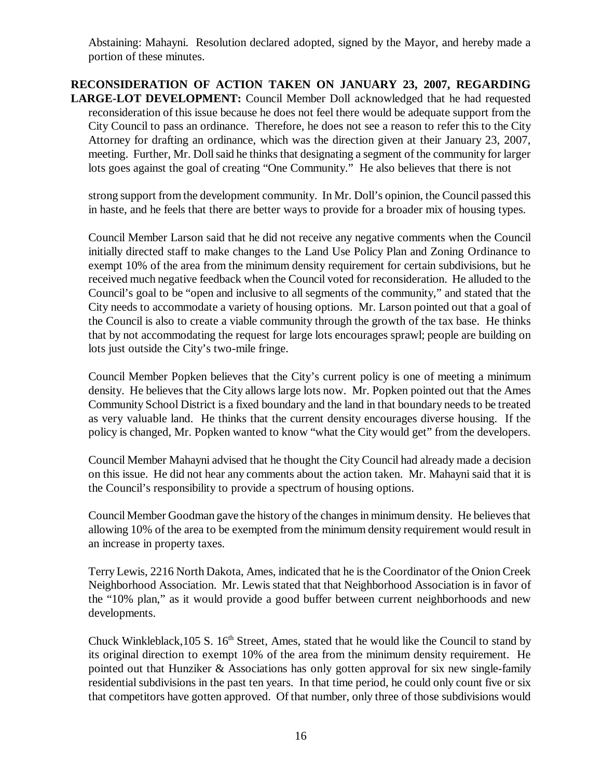Abstaining: Mahayni. Resolution declared adopted, signed by the Mayor, and hereby made a portion of these minutes.

**RECONSIDERATION OF ACTION TAKEN ON JANUARY 23, 2007, REGARDING LARGE-LOT DEVELOPMENT:** Council Member Doll acknowledged that he had requested reconsideration of this issue because he does not feel there would be adequate support from the City Council to pass an ordinance. Therefore, he does not see a reason to refer this to the City Attorney for drafting an ordinance, which was the direction given at their January 23, 2007, meeting. Further, Mr. Doll said he thinks that designating a segment of the community for larger lots goes against the goal of creating "One Community." He also believes that there is not

strong support from the development community. In Mr. Doll's opinion, the Council passed this in haste, and he feels that there are better ways to provide for a broader mix of housing types.

Council Member Larson said that he did not receive any negative comments when the Council initially directed staff to make changes to the Land Use Policy Plan and Zoning Ordinance to exempt 10% of the area from the minimum density requirement for certain subdivisions, but he received much negative feedback when the Council voted for reconsideration. He alluded to the Council's goal to be "open and inclusive to all segments of the community," and stated that the City needs to accommodate a variety of housing options. Mr. Larson pointed out that a goal of the Council is also to create a viable community through the growth of the tax base. He thinks that by not accommodating the request for large lots encourages sprawl; people are building on lots just outside the City's two-mile fringe.

Council Member Popken believes that the City's current policy is one of meeting a minimum density. He believes that the City allows large lots now. Mr. Popken pointed out that the Ames Community School District is a fixed boundary and the land in that boundary needs to be treated as very valuable land. He thinks that the current density encourages diverse housing. If the policy is changed, Mr. Popken wanted to know "what the City would get" from the developers.

Council Member Mahayni advised that he thought the City Council had already made a decision on this issue. He did not hear any comments about the action taken. Mr. Mahayni said that it is the Council's responsibility to provide a spectrum of housing options.

Council Member Goodman gave the history of the changes in minimum density. He believes that allowing 10% of the area to be exempted from the minimum density requirement would result in an increase in property taxes.

Terry Lewis, 2216 North Dakota, Ames, indicated that he is the Coordinator of the Onion Creek Neighborhood Association. Mr. Lewis stated that that Neighborhood Association is in favor of the "10% plan," as it would provide a good buffer between current neighborhoods and new developments.

Chuck Winkleblack, 105 S. 16<sup>th</sup> Street, Ames, stated that he would like the Council to stand by its original direction to exempt 10% of the area from the minimum density requirement. He pointed out that Hunziker & Associations has only gotten approval for six new single-family residential subdivisions in the past ten years. In that time period, he could only count five or six that competitors have gotten approved. Of that number, only three of those subdivisions would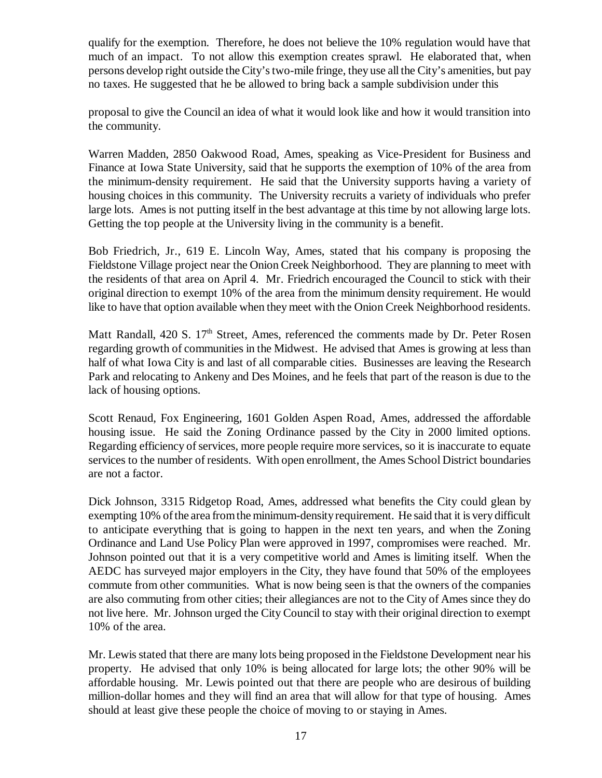qualify for the exemption. Therefore, he does not believe the 10% regulation would have that much of an impact. To not allow this exemption creates sprawl. He elaborated that, when persons develop right outside the City's two-mile fringe, they use all the City's amenities, but pay no taxes. He suggested that he be allowed to bring back a sample subdivision under this

proposal to give the Council an idea of what it would look like and how it would transition into the community.

Warren Madden, 2850 Oakwood Road, Ames, speaking as Vice-President for Business and Finance at Iowa State University, said that he supports the exemption of 10% of the area from the minimum-density requirement. He said that the University supports having a variety of housing choices in this community. The University recruits a variety of individuals who prefer large lots. Ames is not putting itself in the best advantage at this time by not allowing large lots. Getting the top people at the University living in the community is a benefit.

Bob Friedrich, Jr., 619 E. Lincoln Way, Ames, stated that his company is proposing the Fieldstone Village project near the Onion Creek Neighborhood. They are planning to meet with the residents of that area on April 4. Mr. Friedrich encouraged the Council to stick with their original direction to exempt 10% of the area from the minimum density requirement. He would like to have that option available when they meet with the Onion Creek Neighborhood residents.

Matt Randall,  $420 S. 17<sup>th</sup> Street$ , Ames, referenced the comments made by Dr. Peter Rosen regarding growth of communities in the Midwest. He advised that Ames is growing at less than half of what Iowa City is and last of all comparable cities. Businesses are leaving the Research Park and relocating to Ankeny and Des Moines, and he feels that part of the reason is due to the lack of housing options.

Scott Renaud, Fox Engineering, 1601 Golden Aspen Road, Ames, addressed the affordable housing issue. He said the Zoning Ordinance passed by the City in 2000 limited options. Regarding efficiency of services, more people require more services, so it is inaccurate to equate services to the number of residents. With open enrollment, the Ames School District boundaries are not a factor.

Dick Johnson, 3315 Ridgetop Road, Ames, addressed what benefits the City could glean by exempting 10% of the area from the minimum-density requirement. He said that it is very difficult to anticipate everything that is going to happen in the next ten years, and when the Zoning Ordinance and Land Use Policy Plan were approved in 1997, compromises were reached. Mr. Johnson pointed out that it is a very competitive world and Ames is limiting itself. When the AEDC has surveyed major employers in the City, they have found that 50% of the employees commute from other communities. What is now being seen is that the owners of the companies are also commuting from other cities; their allegiances are not to the City of Ames since they do not live here. Mr. Johnson urged the City Council to stay with their original direction to exempt 10% of the area.

Mr. Lewis stated that there are many lots being proposed in the Fieldstone Development near his property. He advised that only 10% is being allocated for large lots; the other 90% will be affordable housing. Mr. Lewis pointed out that there are people who are desirous of building million-dollar homes and they will find an area that will allow for that type of housing. Ames should at least give these people the choice of moving to or staying in Ames.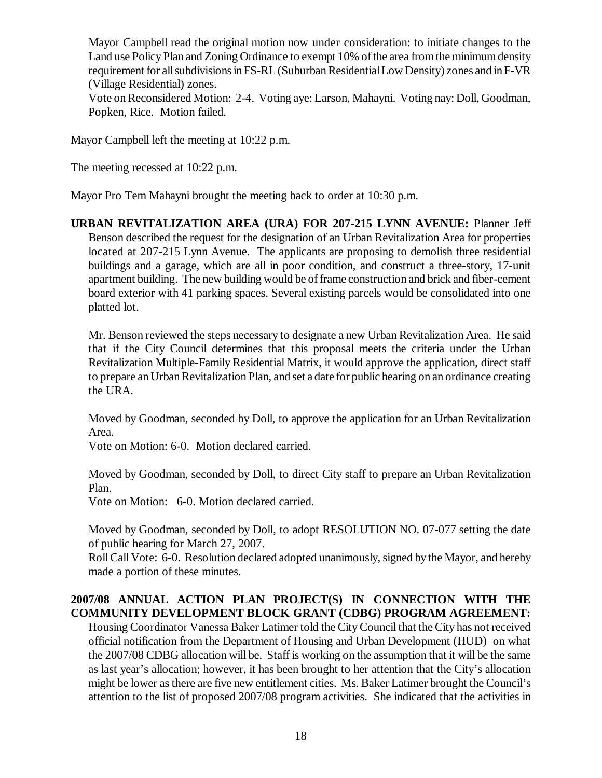Mayor Campbell read the original motion now under consideration: to initiate changes to the Land use Policy Plan and Zoning Ordinance to exempt 10% of the area from the minimum density requirement for all subdivisions in FS-RL (Suburban Residential Low Density) zones and in F-VR (Village Residential) zones.

Vote on Reconsidered Motion: 2-4. Voting aye: Larson, Mahayni. Voting nay: Doll, Goodman, Popken, Rice. Motion failed.

Mayor Campbell left the meeting at 10:22 p.m.

The meeting recessed at 10:22 p.m.

Mayor Pro Tem Mahayni brought the meeting back to order at 10:30 p.m.

**URBAN REVITALIZATION AREA (URA) FOR 207-215 LYNN AVENUE:** Planner Jeff Benson described the request for the designation of an Urban Revitalization Area for properties located at 207-215 Lynn Avenue. The applicants are proposing to demolish three residential buildings and a garage, which are all in poor condition, and construct a three-story, 17-unit apartment building. The new building would be of frame construction and brick and fiber-cement board exterior with 41 parking spaces. Several existing parcels would be consolidated into one platted lot.

Mr. Benson reviewed the steps necessary to designate a new Urban Revitalization Area. He said that if the City Council determines that this proposal meets the criteria under the Urban Revitalization Multiple-Family Residential Matrix, it would approve the application, direct staff to prepare an Urban Revitalization Plan, and set a date for public hearing on an ordinance creating the URA.

Moved by Goodman, seconded by Doll, to approve the application for an Urban Revitalization Area.

Vote on Motion: 6-0. Motion declared carried.

Moved by Goodman, seconded by Doll, to direct City staff to prepare an Urban Revitalization Plan.

Vote on Motion: 6-0. Motion declared carried.

Moved by Goodman, seconded by Doll, to adopt RESOLUTION NO. 07-077 setting the date of public hearing for March 27, 2007.

Roll Call Vote: 6-0. Resolution declared adopted unanimously, signed by the Mayor, and hereby made a portion of these minutes.

### **2007/08 ANNUAL ACTION PLAN PROJECT(S) IN CONNECTION WITH THE COMMUNITY DEVELOPMENT BLOCK GRANT (CDBG) PROGRAM AGREEMENT:**

Housing Coordinator Vanessa Baker Latimer told the City Council that the City has not received official notification from the Department of Housing and Urban Development (HUD) on what the 2007/08 CDBG allocation will be. Staff is working on the assumption that it will be the same as last year's allocation; however, it has been brought to her attention that the City's allocation might be lower as there are five new entitlement cities. Ms. Baker Latimer brought the Council's attention to the list of proposed 2007/08 program activities. She indicated that the activities in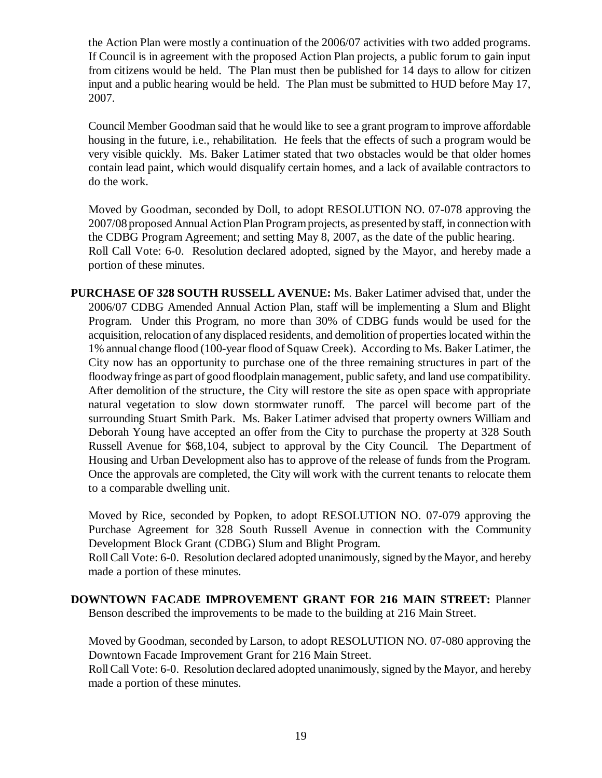the Action Plan were mostly a continuation of the 2006/07 activities with two added programs. If Council is in agreement with the proposed Action Plan projects, a public forum to gain input from citizens would be held. The Plan must then be published for 14 days to allow for citizen input and a public hearing would be held. The Plan must be submitted to HUD before May 17, 2007.

Council Member Goodman said that he would like to see a grant program to improve affordable housing in the future, i.e., rehabilitation. He feels that the effects of such a program would be very visible quickly. Ms. Baker Latimer stated that two obstacles would be that older homes contain lead paint, which would disqualify certain homes, and a lack of available contractors to do the work.

Moved by Goodman, seconded by Doll, to adopt RESOLUTION NO. 07-078 approving the 2007/08 proposed Annual Action Plan Program projects, as presented by staff, in connection with the CDBG Program Agreement; and setting May 8, 2007, as the date of the public hearing. Roll Call Vote: 6-0. Resolution declared adopted, signed by the Mayor, and hereby made a portion of these minutes.

**PURCHASE OF 328 SOUTH RUSSELL AVENUE:** Ms. Baker Latimer advised that, under the 2006/07 CDBG Amended Annual Action Plan, staff will be implementing a Slum and Blight Program. Under this Program, no more than 30% of CDBG funds would be used for the acquisition, relocation of any displaced residents, and demolition of properties located within the 1% annual change flood (100-year flood of Squaw Creek). According to Ms. Baker Latimer, the City now has an opportunity to purchase one of the three remaining structures in part of the floodway fringe as part of good floodplain management, public safety, and land use compatibility. After demolition of the structure, the City will restore the site as open space with appropriate natural vegetation to slow down stormwater runoff. The parcel will become part of the surrounding Stuart Smith Park. Ms. Baker Latimer advised that property owners William and Deborah Young have accepted an offer from the City to purchase the property at 328 South Russell Avenue for \$68,104, subject to approval by the City Council. The Department of Housing and Urban Development also has to approve of the release of funds from the Program. Once the approvals are completed, the City will work with the current tenants to relocate them to a comparable dwelling unit.

Moved by Rice, seconded by Popken, to adopt RESOLUTION NO. 07-079 approving the Purchase Agreement for 328 South Russell Avenue in connection with the Community Development Block Grant (CDBG) Slum and Blight Program.

Roll Call Vote: 6-0. Resolution declared adopted unanimously, signed by the Mayor, and hereby made a portion of these minutes.

**DOWNTOWN FACADE IMPROVEMENT GRANT FOR 216 MAIN STREET:** Planner Benson described the improvements to be made to the building at 216 Main Street.

Moved by Goodman, seconded by Larson, to adopt RESOLUTION NO. 07-080 approving the Downtown Facade Improvement Grant for 216 Main Street.

Roll Call Vote: 6-0. Resolution declared adopted unanimously, signed by the Mayor, and hereby made a portion of these minutes.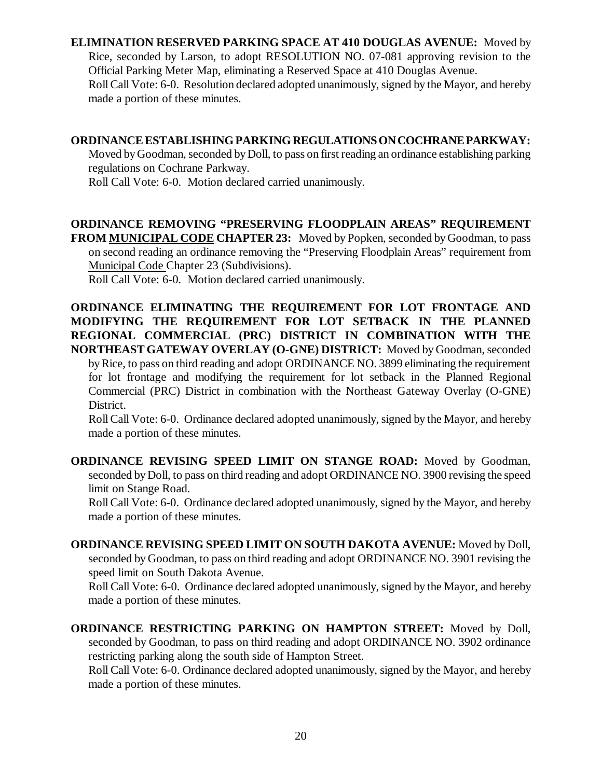## **ELIMINATION RESERVED PARKING SPACE AT 410 DOUGLAS AVENUE:** Moved by Rice, seconded by Larson, to adopt RESOLUTION NO. 07-081 approving revision to the Official Parking Meter Map, eliminating a Reserved Space at 410 Douglas Avenue. Roll Call Vote: 6-0. Resolution declared adopted unanimously, signed by the Mayor, and hereby made a portion of these minutes.

## **ORDINANCE ESTABLISHING PARKING REGULATIONS ON COCHRANE PARKWAY:**

Moved by Goodman, seconded by Doll, to pass on first reading an ordinance establishing parking regulations on Cochrane Parkway.

Roll Call Vote: 6-0. Motion declared carried unanimously.

**ORDINANCE REMOVING "PRESERVING FLOODPLAIN AREAS" REQUIREMENT FROM MUNICIPAL CODE CHAPTER 23:** Moved by Popken, seconded by Goodman, to pass on second reading an ordinance removing the "Preserving Floodplain Areas" requirement from Municipal Code Chapter 23 (Subdivisions).

Roll Call Vote: 6-0. Motion declared carried unanimously.

**ORDINANCE ELIMINATING THE REQUIREMENT FOR LOT FRONTAGE AND MODIFYING THE REQUIREMENT FOR LOT SETBACK IN THE PLANNED REGIONAL COMMERCIAL (PRC) DISTRICT IN COMBINATION WITH THE NORTHEAST GATEWAY OVERLAY (O-GNE) DISTRICT:** Moved by Goodman, seconded by Rice, to pass on third reading and adopt ORDINANCE NO. 3899 eliminating the requirement

for lot frontage and modifying the requirement for lot setback in the Planned Regional Commercial (PRC) District in combination with the Northeast Gateway Overlay (O-GNE) District.

Roll Call Vote: 6-0. Ordinance declared adopted unanimously, signed by the Mayor, and hereby made a portion of these minutes.

**ORDINANCE REVISING SPEED LIMIT ON STANGE ROAD:** Moved by Goodman, seconded by Doll, to pass on third reading and adopt ORDINANCE NO. 3900 revising the speed limit on Stange Road.

Roll Call Vote: 6-0. Ordinance declared adopted unanimously, signed by the Mayor, and hereby made a portion of these minutes.

**ORDINANCE REVISING SPEED LIMIT ON SOUTH DAKOTA AVENUE:** Moved by Doll, seconded by Goodman, to pass on third reading and adopt ORDINANCE NO. 3901 revising the speed limit on South Dakota Avenue.

Roll Call Vote: 6-0. Ordinance declared adopted unanimously, signed by the Mayor, and hereby made a portion of these minutes.

**ORDINANCE RESTRICTING PARKING ON HAMPTON STREET:** Moved by Doll, seconded by Goodman, to pass on third reading and adopt ORDINANCE NO. 3902 ordinance restricting parking along the south side of Hampton Street.

Roll Call Vote: 6-0. Ordinance declared adopted unanimously, signed by the Mayor, and hereby made a portion of these minutes.